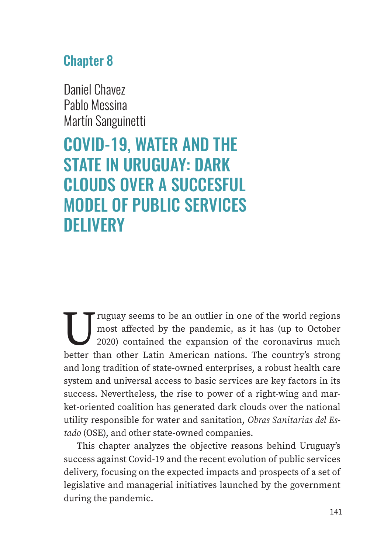## Chapter 8

Daniel Chavez Pablo Messina Martín Sanguinetti

# COVID-19, WATER AND THE STATE IN URUGUAY: DARK CLOUDS OVER A SUCCESFUL MODEL OF PUBLIC SERVICES **DELIVERY**

The Truguay seems to be an outlier in one of the world regions<br>most affected by the pandemic, as it has (up to October<br>2020) contained the expansion of the coronavirus much<br>hetter than other Latin American nations. The cou most affected by the pandemic, as it has (up to October 2020) contained the expansion of the coronavirus much better than other Latin American nations. The country's strong and long tradition of state-owned enterprises, a robust health care system and universal access to basic services are key factors in its success. Nevertheless, the rise to power of a right-wing and market-oriented coalition has generated dark clouds over the national utility responsible for water and sanitation, *Obras Sanitarias del Estado* (OSE), and other state-owned companies.

This chapter analyzes the objective reasons behind Uruguay's success against Covid-19 and the recent evolution of public services delivery, focusing on the expected impacts and prospects of a set of legislative and managerial initiatives launched by the government during the pandemic.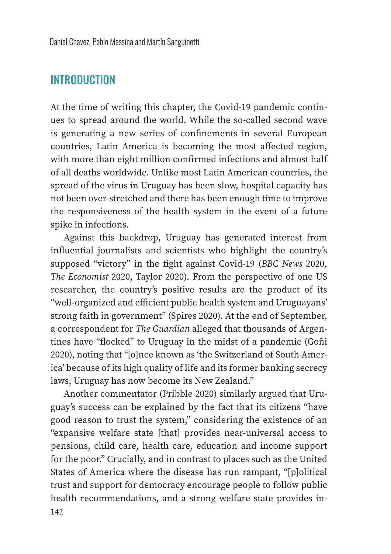#### **INTRODUCTION**

At the time of writing this chapter, the Covid-19 pandemic continues to spread around the world. While the so-called second wave is generating a new series of confinements in several European countries, Latin America is becoming the most affected region, with more than eight million confirmed infections and almost half of all deaths worldwide. Unlike most Latin American countries, the spread of the virus in Uruguay has been slow, hospital capacity has not been over-stretched and there has been enough time to improve the responsiveness of the health system in the event of a future spike in infections.

Against this backdrop, Uruguay has generated interest from influential journalists and scientists who highlight the country's supposed "victory" in the "ght against Covid-19 (*BBC News* 2020, *The Economist* 2020, Taylor 2020). From the perspective of one US researcher, the country's positive results are the product of its "well-organized and efficient public health system and Uruguayans' strong faith in government" (Spires 2020). At the end of September, a correspondent for *The Guardian* alleged that thousands of Argentines have "flocked" to Uruguay in the midst of a pandemic (Goñi 2020), noting that "[o]nce known as 'the Switzerland of South America' because of its high quality of life and its former banking secrecy laws, Uruguay has now become its New Zealand."

Another commentator (Pribble 2020) similarly argued that Uruguay's success can be explained by the fact that its citizens "have good reason to trust the system," considering the existence of an "expansive welfare state [that] provides near-universal access to pensions, child care, health care, education and income support for the poor." Crucially, and in contrast to places such as the United States of America where the disease has run rampant, "[p]olitical trust and support for democracy encourage people to follow public health recommendations, and a strong welfare state provides in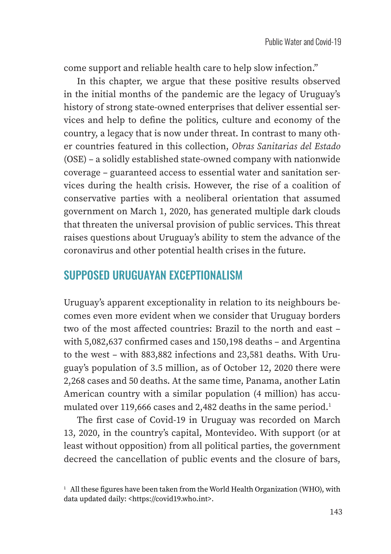come support and reliable health care to help slow infection."

In this chapter, we argue that these positive results observed in the initial months of the pandemic are the legacy of Uruguay's history of strong state-owned enterprises that deliver essential services and help to define the politics, culture and economy of the country, a legacy that is now under threat. In contrast to many other countries featured in this collection, *Obras Sanitarias del Estado* (OSE) – a solidly established state-owned company with nationwide coverage – guaranteed access to essential water and sanitation services during the health crisis. However, the rise of a coalition of conservative parties with a neoliberal orientation that assumed government on March 1, 2020, has generated multiple dark clouds that threaten the universal provision of public services. This threat raises questions about Uruguay's ability to stem the advance of the coronavirus and other potential health crises in the future.

### SUPPOSED URUGUAYAN EXCEPTIONALISM

Uruguay's apparent exceptionality in relation to its neighbours becomes even more evident when we consider that Uruguay borders two of the most affected countries: Brazil to the north and east – with  $5,082,637$  confirmed cases and  $150,198$  deaths – and Argentina to the west – with 883,882 infections and 23,581 deaths. With Uruguay's population of 3.5 million, as of October 12, 2020 there were 2,268 cases and 50 deaths. At the same time, Panama, another Latin American country with a similar population (4 million) has accumulated over 119,666 cases and 2,482 deaths in the same period.<sup>1</sup>

The first case of Covid-19 in Uruguay was recorded on March 13, 2020, in the country's capital, Montevideo. With support (or at least without opposition) from all political parties, the government decreed the cancellation of public events and the closure of bars,

<sup>&</sup>lt;sup>1</sup> All these figures have been taken from the World Health Organization (WHO), with data updated daily: <https://covid19.who.int>.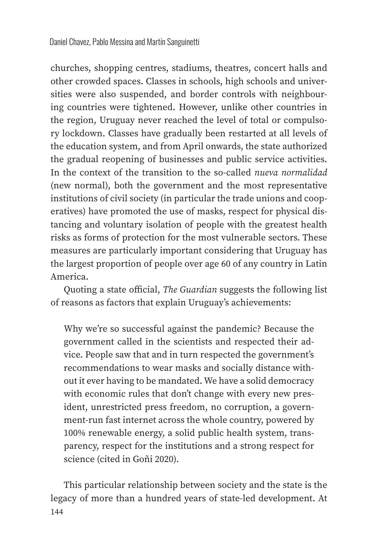churches, shopping centres, stadiums, theatres, concert halls and other crowded spaces. Classes in schools, high schools and universities were also suspended, and border controls with neighbouring countries were tightened. However, unlike other countries in the region, Uruguay never reached the level of total or compulsory lockdown. Classes have gradually been restarted at all levels of the education system, and from April onwards, the state authorized the gradual reopening of businesses and public service activities. In the context of the transition to the so-called *nueva normalidad* (new normal), both the government and the most representative institutions of civil society (in particular the trade unions and cooperatives) have promoted the use of masks, respect for physical distancing and voluntary isolation of people with the greatest health risks as forms of protection for the most vulnerable sectors. These measures are particularly important considering that Uruguay has the largest proportion of people over age 60 of any country in Latin America.

Quoting a state official, *The Guardian* suggests the following list of reasons as factors that explain Uruguay's achievements:

Why we're so successful against the pandemic? Because the government called in the scientists and respected their advice. People saw that and in turn respected the government's recommendations to wear masks and socially distance without it ever having to be mandated. We have a solid democracy with economic rules that don't change with every new president, unrestricted press freedom, no corruption, a government-run fast internet across the whole country, powered by 100% renewable energy, a solid public health system, transparency, respect for the institutions and a strong respect for science (cited in Goñi 2020).

This particular relationship between society and the state is the legacy of more than a hundred years of state-led development. At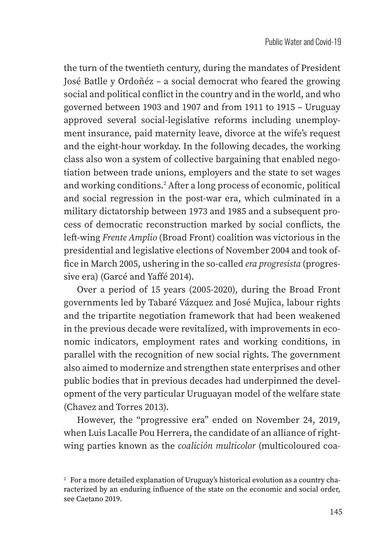the turn of the twentieth century, during the mandates of President José Batlle y Ordoñéz – a social democrat who feared the growing social and political conflict in the country and in the world, and who governed between 1903 and 1907 and from 1911 to 1915 – Uruguay approved several social-legislative reforms including unemployment insurance, paid maternity leave, divorce at the wife's request and the eight-hour workday. In the following decades, the working class also won a system of collective bargaining that enabled negotiation between trade unions, employers and the state to set wages and working conditions.<sup>2</sup> After a long process of economic, political and social regression in the post-war era, which culminated in a military dictatorship between 1973 and 1985 and a subsequent process of democratic reconstruction marked by social conflicts, the left-wing *Frente Amplio* (Broad Front) coalition was victorious in the presidential and legislative elections of November 2004 and took of fice in March 2005, ushering in the so-called *era progresista* (progressive era) (Garcé and Yaffé 2014).

Over a period of 15 years (2005-2020), during the Broad Front governments led by Tabaré Vázquez and José Mujica, labour rights and the tripartite negotiation framework that had been weakened in the previous decade were revitalized, with improvements in economic indicators, employment rates and working conditions, in parallel with the recognition of new social rights. The government also aimed to modernize and strengthen state enterprises and other public bodies that in previous decades had underpinned the development of the very particular Uruguayan model of the welfare state (Chavez and Torres 2013).

However, the "progressive era" ended on November 24, 2019, when Luis Lacalle Pou Herrera, the candidate of an alliance of rightwing parties known as the *coalición multicolor* (multicoloured coa-

<sup>&</sup>lt;sup>2</sup> For a more detailed explanation of Uruguay's historical evolution as a country characterized by an enduring influence of the state on the economic and social order, see Caetano 2019.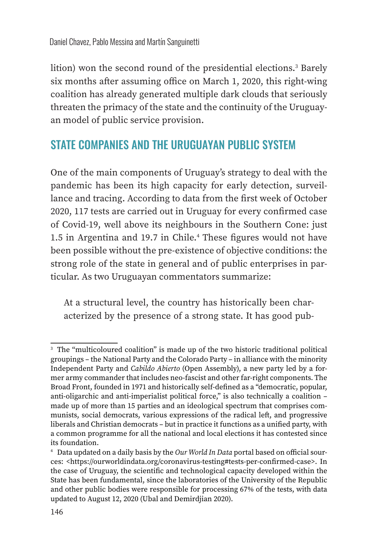lition) won the second round of the presidential elections.<sup>3</sup> Barely six months after assuming office on March 1, 2020, this right-wing coalition has already generated multiple dark clouds that seriously threaten the primacy of the state and the continuity of the Uruguayan model of public service provision.

#### STATE COMPANIES AND THE URUGUAYAN PUBLIC SYSTEM

One of the main components of Uruguay's strategy to deal with the pandemic has been its high capacity for early detection, surveillance and tracing. According to data from the first week of October 2020, 117 tests are carried out in Uruguay for every confirmed case of Covid-19, well above its neighbours in the Southern Cone: just 1.5 in Argentina and 19.7 in Chile.<sup>4</sup> These figures would not have been possible without the pre-existence of objective conditions: the strong role of the state in general and of public enterprises in particular. As two Uruguayan commentators summarize:

At a structural level, the country has historically been characterized by the presence of a strong state. It has good pub-

<sup>&</sup>lt;sup>3</sup> The "multicoloured coalition" is made up of the two historic traditional political groupings – the National Party and the Colorado Party – in alliance with the minority Independent Party and *Cabildo Abierto* (Open Assembly), a new party led by a former army commander that includes neo-fascist and other far-right components. The Broad Front, founded in 1971 and historically self-defined as a "democratic, popular, anti-oligarchic and anti-imperialist political force," is also technically a coalition – made up of more than 15 parties and an ideological spectrum that comprises communists, social democrats, various expressions of the radical left, and progressive liberals and Christian democrats – but in practice it functions as a unified party, with a common programme for all the national and local elections it has contested since its foundation.

<sup>&</sup>lt;sup>4</sup> Data updated on a daily basis by the *Our World In Data* portal based on official sources: <https://ourworldindata.org/coronavirus-testing#tests-per-confirmed-case>. In the case of Uruguay, the scientific and technological capacity developed within the State has been fundamental, since the laboratories of the University of the Republic and other public bodies were responsible for processing 67% of the tests, with data updated to August 12, 2020 (Ubal and Demirdjian 2020).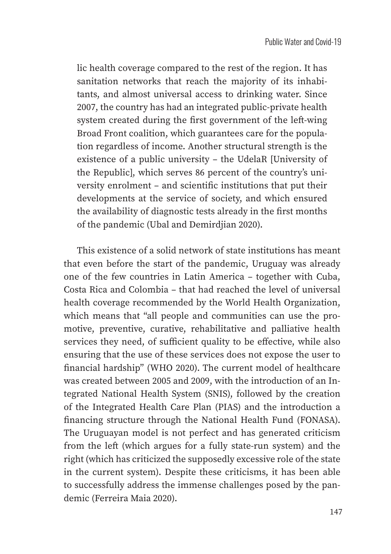lic health coverage compared to the rest of the region. It has sanitation networks that reach the majority of its inhabitants, and almost universal access to drinking water. Since 2007, the country has had an integrated public-private health system created during the first government of the left-wing Broad Front coalition, which guarantees care for the population regardless of income. Another structural strength is the existence of a public university – the UdelaR [University of the Republic], which serves 86 percent of the country's university enrolment – and scientific institutions that put their developments at the service of society, and which ensured the availability of diagnostic tests already in the first months of the pandemic (Ubal and Demirdjian 2020).

This existence of a solid network of state institutions has meant that even before the start of the pandemic, Uruguay was already one of the few countries in Latin America – together with Cuba, Costa Rica and Colombia – that had reached the level of universal health coverage recommended by the World Health Organization, which means that "all people and communities can use the promotive, preventive, curative, rehabilitative and palliative health services they need, of sufficient quality to be effective, while also ensuring that the use of these services does not expose the user to financial hardship" (WHO 2020). The current model of healthcare was created between 2005 and 2009, with the introduction of an Integrated National Health System (SNIS), followed by the creation of the Integrated Health Care Plan (PIAS) and the introduction a financing structure through the National Health Fund (FONASA). The Uruguayan model is not perfect and has generated criticism from the left (which argues for a fully state-run system) and the right (which has criticized the supposedly excessive role of the state in the current system). Despite these criticisms, it has been able to successfully address the immense challenges posed by the pandemic (Ferreira Maia 2020).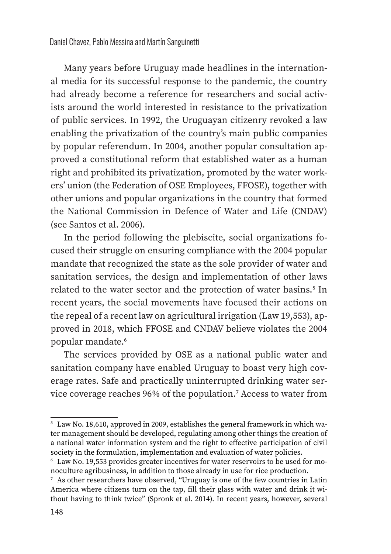Many years before Uruguay made headlines in the international media for its successful response to the pandemic, the country had already become a reference for researchers and social activists around the world interested in resistance to the privatization of public services. In 1992, the Uruguayan citizenry revoked a law enabling the privatization of the country's main public companies by popular referendum. In 2004, another popular consultation approved a constitutional reform that established water as a human right and prohibited its privatization, promoted by the water workers' union (the Federation of OSE Employees, FFOSE), together with other unions and popular organizations in the country that formed the National Commission in Defence of Water and Life (CNDAV) (see Santos et al. 2006).

In the period following the plebiscite, social organizations focused their struggle on ensuring compliance with the 2004 popular mandate that recognized the state as the sole provider of water and sanitation services, the design and implementation of other laws related to the water sector and the protection of water basins.<sup>5</sup> In recent years, the social movements have focused their actions on the repeal of a recent law on agricultural irrigation (Law 19,553), approved in 2018, which FFOSE and CNDAV believe violates the 2004 popular mandate.<sup>6</sup>

The services provided by OSE as a national public water and sanitation company have enabled Uruguay to boast very high coverage rates. Safe and practically uninterrupted drinking water service coverage reaches 96% of the population.7 Access to water from

<sup>&</sup>lt;sup>5</sup> Law No. 18,610, approved in 2009, establishes the general framework in which water management should be developed, regulating among other things the creation of a national water information system and the right to effective participation of civil society in the formulation, implementation and evaluation of water policies.

<sup>6</sup> Law No. 19,553 provides greater incentives for water reservoirs to be used for monoculture agribusiness, in addition to those already in use for rice production.

<sup>7</sup> As other researchers have observed, "Uruguay is one of the few countries in Latin America where citizens turn on the tap, fill their glass with water and drink it without having to think twice" (Spronk et al. 2014). In recent years, however, several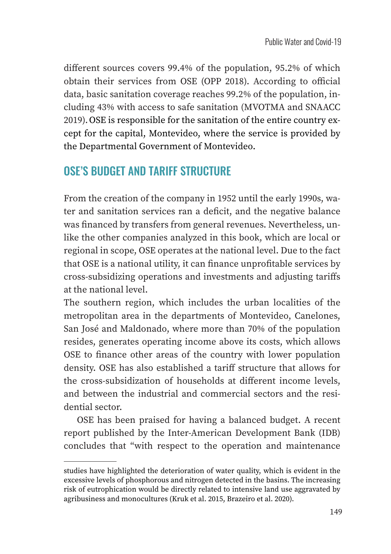different sources covers 99.4% of the population, 95.2% of which obtain their services from OSE (OPP 2018). According to official data, basic sanitation coverage reaches 99.2% of the population, including 43% with access to safe sanitation (MVOTMA and SNAACC 2019).OSE is responsible for the sanitation of the entire country except for the capital, Montevideo, where the service is provided by the Departmental Government of Montevideo.

#### OSE'S BUDGET AND TARIFF STRUCTURE

From the creation of the company in 1952 until the early 1990s, water and sanitation services ran a deficit, and the negative balance was financed by transfers from general revenues. Nevertheless, unlike the other companies analyzed in this book, which are local or regional in scope, OSE operates at the national level. Due to the fact that OSE is a national utility, it can finance unprofitable services by cross-subsidizing operations and investments and adjusting tariffs at the national level.

The southern region, which includes the urban localities of the metropolitan area in the departments of Montevideo, Canelones, San José and Maldonado, where more than 70% of the population resides, generates operating income above its costs, which allows OSE to finance other areas of the country with lower population density. OSE has also established a tariff structure that allows for the cross-subsidization of households at different income levels, and between the industrial and commercial sectors and the residential sector.

OSE has been praised for having a balanced budget. A recent report published by the Inter-American Development Bank (IDB) concludes that "with respect to the operation and maintenance

studies have highlighted the deterioration of water quality, which is evident in the excessive levels of phosphorous and nitrogen detected in the basins. The increasing risk of eutrophication would be directly related to intensive land use aggravated by agribusiness and monocultures (Kruk et al. 2015, Brazeiro et al. 2020).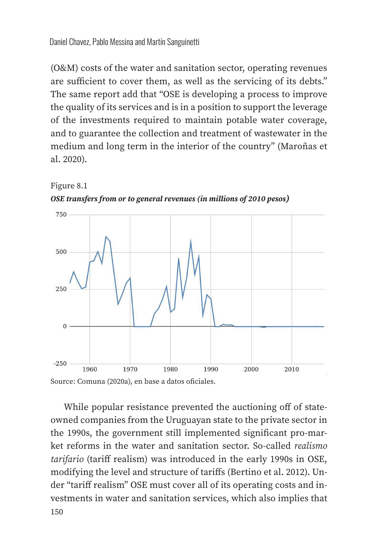(O&M) costs of the water and sanitation sector, operating revenues are sufficient to cover them, as well as the servicing of its debts." The same report add that "OSE is developing a process to improve the quality of its services and is in a position to support the leverage of the investments required to maintain potable water coverage, and to guarantee the collection and treatment of wastewater in the medium and long term in the interior of the country" (Maroñas et al. 2020).



Figure 8.1 *OSE transfers from or to general revenues (in millions of 2010 pesos)*

150 While popular resistance prevented the auctioning off of stateowned companies from the Uruguayan state to the private sector in the 1990s, the government still implemented significant pro-market reforms in the water and sanitation sector. So-called *realismo tarifario* (tariff realism) was introduced in the early 1990s in OSE, modifying the level and structure of tariffs (Bertino et al. 2012). Under "tariff realism" OSE must cover all of its operating costs and investments in water and sanitation services, which also implies that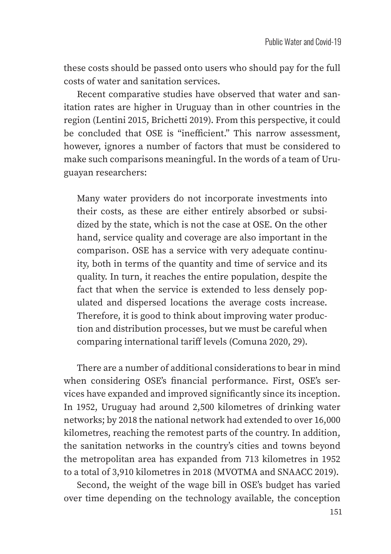these costs should be passed onto users who should pay for the full costs of water and sanitation services.

Recent comparative studies have observed that water and sanitation rates are higher in Uruguay than in other countries in the region (Lentini 2015, Brichetti 2019). From this perspective, it could be concluded that OSE is "inefficient." This narrow assessment, however, ignores a number of factors that must be considered to make such comparisons meaningful. In the words of a team of Uruguayan researchers:

Many water providers do not incorporate investments into their costs, as these are either entirely absorbed or subsidized by the state, which is not the case at OSE. On the other hand, service quality and coverage are also important in the comparison. OSE has a service with very adequate continuity, both in terms of the quantity and time of service and its quality. In turn, it reaches the entire population, despite the fact that when the service is extended to less densely populated and dispersed locations the average costs increase. Therefore, it is good to think about improving water production and distribution processes, but we must be careful when comparing international tariff levels (Comuna 2020, 29).

There are a number of additional considerations to bear in mind when considering OSE's financial performance. First, OSE's services have expanded and improved significantly since its inception. In 1952, Uruguay had around 2,500 kilometres of drinking water networks; by 2018 the national network had extended to over 16,000 kilometres, reaching the remotest parts of the country. In addition, the sanitation networks in the country's cities and towns beyond the metropolitan area has expanded from 713 kilometres in 1952 to a total of 3,910 kilometres in 2018 (MVOTMA and SNAACC 2019).

Second, the weight of the wage bill in OSE's budget has varied over time depending on the technology available, the conception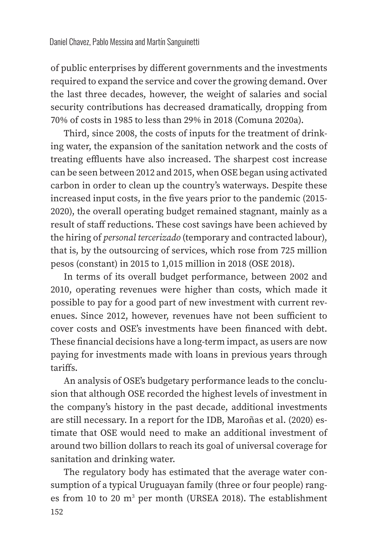of public enterprises by different governments and the investments required to expand the service and cover the growing demand. Over the last three decades, however, the weight of salaries and social security contributions has decreased dramatically, dropping from 70% of costs in 1985 to less than 29% in 2018 (Comuna 2020a).

Third, since 2008, the costs of inputs for the treatment of drinking water, the expansion of the sanitation network and the costs of treating effluents have also increased. The sharpest cost increase can be seen between 2012 and 2015, when OSE began using activated carbon in order to clean up the country's waterways. Despite these increased input costs, in the five years prior to the pandemic (2015-2020), the overall operating budget remained stagnant, mainly as a result of staff reductions. These cost savings have been achieved by the hiring of *personal tercerizado* (temporary and contracted labour), that is, by the outsourcing of services, which rose from 725 million pesos (constant) in 2015 to 1,015 million in 2018 (OSE 2018).

In terms of its overall budget performance, between 2002 and 2010, operating revenues were higher than costs, which made it possible to pay for a good part of new investment with current revenues. Since 2012, however, revenues have not been sufficient to cover costs and OSE's investments have been financed with debt. These financial decisions have a long-term impact, as users are now paying for investments made with loans in previous years through tariffs.

An analysis of OSE's budgetary performance leads to the conclusion that although OSE recorded the highest levels of investment in the company's history in the past decade, additional investments are still necessary. In a report for the IDB, Maroñas et al. (2020) estimate that OSE would need to make an additional investment of around two billion dollars to reach its goal of universal coverage for sanitation and drinking water.

152 The regulatory body has estimated that the average water consumption of a typical Uruguayan family (three or four people) ranges from 10 to 20  $m<sup>3</sup>$  per month (URSEA 2018). The establishment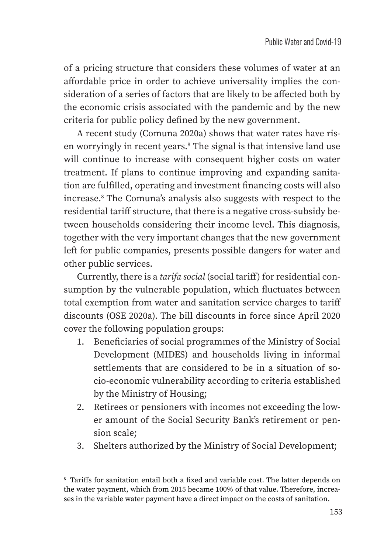of a pricing structure that considers these volumes of water at an affordable price in order to achieve universality implies the consideration of a series of factors that are likely to be affected both by the economic crisis associated with the pandemic and by the new criteria for public policy defined by the new government.

A recent study (Comuna 2020a) shows that water rates have risen worryingly in recent years.<sup>8</sup> The signal is that intensive land use will continue to increase with consequent higher costs on water treatment. If plans to continue improving and expanding sanitation are fulfilled, operating and investment financing costs will also increase.8 The Comuna's analysis also suggests with respect to the residential tariff structure, that there is a negative cross-subsidy between households considering their income level. This diagnosis, together with the very important changes that the new government left for public companies, presents possible dangers for water and other public services.

Currently, there is a *tarifa social* (social tariff) for residential consumption by the vulnerable population, which fluctuates between total exemption from water and sanitation service charges to tariff discounts (OSE 2020a). The bill discounts in force since April 2020 cover the following population groups:

- 1. Beneficiaries of social programmes of the Ministry of Social Development (MIDES) and households living in informal settlements that are considered to be in a situation of socio-economic vulnerability according to criteria established by the Ministry of Housing;
- 2. Retirees or pensioners with incomes not exceeding the lower amount of the Social Security Bank's retirement or pension scale;
- 3. Shelters authorized by the Ministry of Social Development;

<sup>8</sup> Tariffs for sanitation entail both a fixed and variable cost. The latter depends on the water payment, which from 2015 became 100% of that value. Therefore, increases in the variable water payment have a direct impact on the costs of sanitation.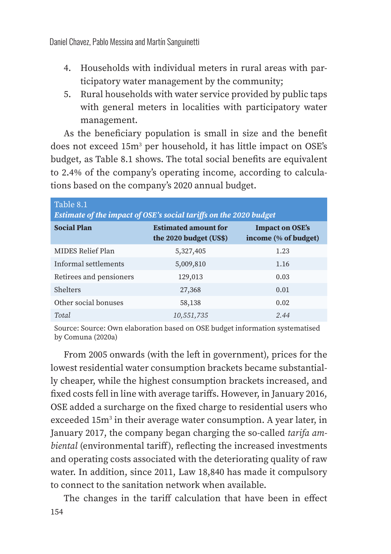- 4. Households with individual meters in rural areas with participatory water management by the community;
- 5. Rural households with water service provided by public taps with general meters in localities with participatory water management.

As the beneficiary population is small in size and the benefit does not exceed 15m<sup>3</sup> per household, it has little impact on OSE's budget, as Table 8.1 shows. The total social benefits are equivalent to 2.4% of the company's operating income, according to calculations based on the company's 2020 annual budget.

| Table 8.1<br>Estimate of the impact of OSE's social tariffs on the 2020 budget |                                                       |                                                |
|--------------------------------------------------------------------------------|-------------------------------------------------------|------------------------------------------------|
| <b>Social Plan</b>                                                             | <b>Estimated amount for</b><br>the 2020 budget (US\$) | <b>Impact on OSE's</b><br>income (% of budget) |
| MIDES Relief Plan                                                              | 5,327,405                                             | 1.23                                           |
| Informal settlements                                                           | 5,009,810                                             | 1.16                                           |
| Retirees and pensioners                                                        | 129,013                                               | 0.03                                           |
| Shelters                                                                       | 27,368                                                | 0.01                                           |
| Other social bonuses                                                           | 58,138                                                | 0.02                                           |
| Total.                                                                         | 10,551,735                                            | 2.44                                           |

Source: Source: Own elaboration based on OSE budget information systematised by Comuna (2020a)

From 2005 onwards (with the left in government), prices for the lowest residential water consumption brackets became substantially cheaper, while the highest consumption brackets increased, and fixed costs fell in line with average tariffs. However, in January 2016, OSE added a surcharge on the fixed charge to residential users who exceeded 15m<sup>3</sup> in their average water consumption. A year later, in January 2017, the company began charging the so-called *tarifa ambiental* (environmental tariff), reflecting the increased investments and operating costs associated with the deteriorating quality of raw water. In addition, since 2011, Law 18,840 has made it compulsory to connect to the sanitation network when available.

154 The changes in the tariff calculation that have been in effect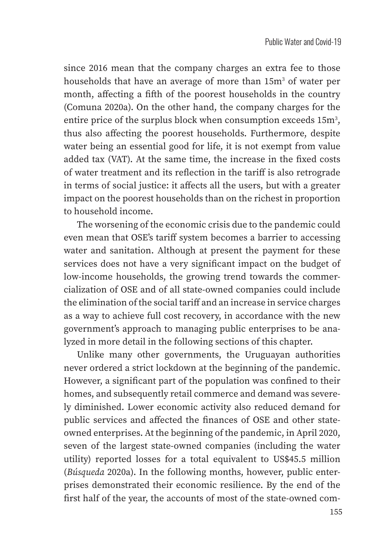since 2016 mean that the company charges an extra fee to those households that have an average of more than 15m<sup>3</sup> of water per month, affecting a fifth of the poorest households in the country (Comuna 2020a). On the other hand, the company charges for the entire price of the surplus block when consumption exceeds  $15m^3$ , thus also affecting the poorest households. Furthermore, despite water being an essential good for life, it is not exempt from value added tax (VAT). At the same time, the increase in the fixed costs of water treatment and its reflection in the tariff is also retrograde in terms of social justice: it affects all the users, but with a greater impact on the poorest households than on the richest in proportion to household income.

The worsening of the economic crisis due to the pandemic could even mean that OSE's tariff system becomes a barrier to accessing water and sanitation. Although at present the payment for these services does not have a very significant impact on the budget of low-income households, the growing trend towards the commercialization of OSE and of all state-owned companies could include the elimination of the social tariff and an increase in service charges as a way to achieve full cost recovery, in accordance with the new government's approach to managing public enterprises to be analyzed in more detail in the following sections of this chapter.

Unlike many other governments, the Uruguayan authorities never ordered a strict lockdown at the beginning of the pandemic. However, a significant part of the population was confined to their homes, and subsequently retail commerce and demand was severely diminished. Lower economic activity also reduced demand for public services and affected the finances of OSE and other stateowned enterprises. At the beginning of the pandemic, in April 2020, seven of the largest state-owned companies (including the water utility) reported losses for a total equivalent to US\$45.5 million (*Búsqueda* 2020a). In the following months, however, public enterprises demonstrated their economic resilience. By the end of the first half of the year, the accounts of most of the state-owned com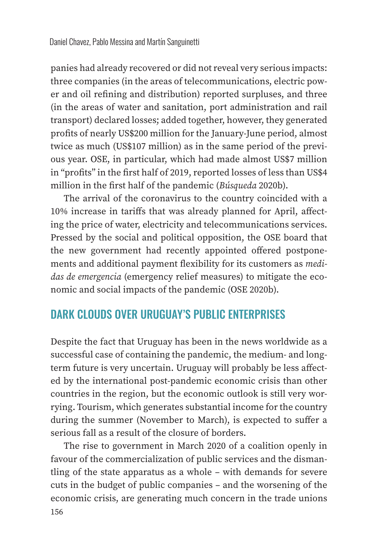panies had already recovered or did not reveal very serious impacts: three companies (in the areas of telecommunications, electric power and oil refining and distribution) reported surpluses, and three (in the areas of water and sanitation, port administration and rail transport) declared losses; added together, however, they generated profits of nearly US\$200 million for the January-June period, almost twice as much (US\$107 million) as in the same period of the previous year. OSE, in particular, which had made almost US\$7 million in "profits" in the first half of 2019, reported losses of less than US\$4 million in the first half of the pandemic (*Búsqueda* 2020b).

The arrival of the coronavirus to the country coincided with a 10% increase in tariffs that was already planned for April, affecting the price of water, electricity and telecommunications services. Pressed by the social and political opposition, the OSE board that the new government had recently appointed offered postponements and additional payment flexibility for its customers as *medidas de emergencia* (emergency relief measures) to mitigate the economic and social impacts of the pandemic (OSE 2020b).

#### DARK CLOUDS OVER URUGUAY'S PUBLIC ENTERPRISES

Despite the fact that Uruguay has been in the news worldwide as a successful case of containing the pandemic, the medium- and longterm future is very uncertain. Uruguay will probably be less affected by the international post-pandemic economic crisis than other countries in the region, but the economic outlook is still very worrying. Tourism, which generates substantial income for the country during the summer (November to March), is expected to suffer a serious fall as a result of the closure of borders.

The rise to government in March 2020 of a coalition openly in favour of the commercialization of public services and the dismantling of the state apparatus as a whole – with demands for severe cuts in the budget of public companies – and the worsening of the economic crisis, are generating much concern in the trade unions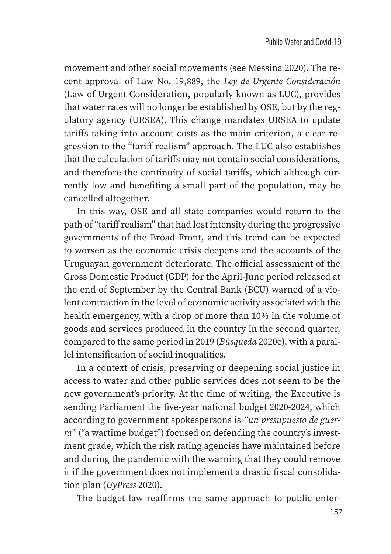movement and other social movements (see Messina 2020). The recent approval of Law No. 19,889, the *Ley de Urgente Consideración* (Law of Urgent Consideration, popularly known as LUC), provides that water rates will no longer be established by OSE, but by the regulatory agency (URSEA). This change mandates URSEA to update tariffs taking into account costs as the main criterion, a clear regression to the "tariff realism" approach. The LUC also establishes that the calculation of tariffs may not contain social considerations, and therefore the continuity of social tariffs, which although currently low and benefiting a small part of the population, may be cancelled altogether.

In this way, OSE and all state companies would return to the path of "tariff realism" that had lost intensity during the progressive governments of the Broad Front, and this trend can be expected to worsen as the economic crisis deepens and the accounts of the Uruguayan government deteriorate. The official assessment of the Gross Domestic Product (GDP) for the April-June period released at the end of September by the Central Bank (BCU) warned of a violent contraction in the level of economic activity associated with the health emergency, with a drop of more than 10% in the volume of goods and services produced in the country in the second quarter, compared to the same period in 2019 (*Búsqueda* 2020c), with a parallel intensification of social inequalities.

In a context of crisis, preserving or deepening social justice in access to water and other public services does not seem to be the new government's priority. At the time of writing, the Executive is sending Parliament the five-year national budget 2020-2024, which according to government spokespersons is *"un presupuesto de guerra"* ("a wartime budget") focused on defending the country's investment grade, which the risk rating agencies have maintained before and during the pandemic with the warning that they could remove it if the government does not implement a drastic fiscal consolidation plan (*UyPress* 2020).

The budget law reaffirms the same approach to public enter-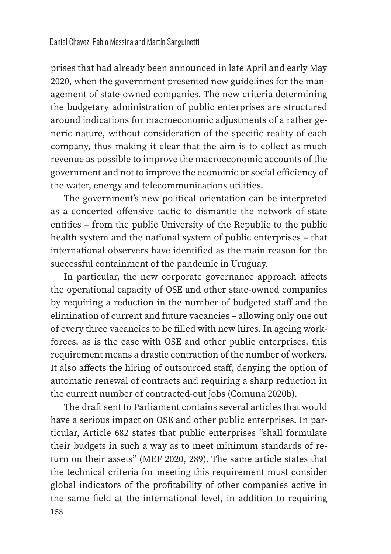prises that had already been announced in late April and early May 2020, when the government presented new guidelines for the management of state-owned companies. The new criteria determining the budgetary administration of public enterprises are structured around indications for macroeconomic adjustments of a rather generic nature, without consideration of the specific reality of each company, thus making it clear that the aim is to collect as much revenue as possible to improve the macroeconomic accounts of the government and not to improve the economic or social efficiency of the water, energy and telecommunications utilities.

The government's new political orientation can be interpreted as a concerted offensive tactic to dismantle the network of state entities – from the public University of the Republic to the public health system and the national system of public enterprises – that international observers have identified as the main reason for the successful containment of the pandemic in Uruguay.

In particular, the new corporate governance approach affects the operational capacity of OSE and other state-owned companies by requiring a reduction in the number of budgeted staff and the elimination of current and future vacancies – allowing only one out of every three vacancies to be filled with new hires. In ageing workforces, as is the case with OSE and other public enterprises, this requirement means a drastic contraction of the number of workers. It also affects the hiring of outsourced staff, denying the option of automatic renewal of contracts and requiring a sharp reduction in the current number of contracted-out jobs (Comuna 2020b).

158 The draft sent to Parliament contains several articles that would have a serious impact on OSE and other public enterprises. In particular, Article 682 states that public enterprises "shall formulate their budgets in such a way as to meet minimum standards of return on their assets" (MEF 2020, 289). The same article states that the technical criteria for meeting this requirement must consider global indicators of the profitability of other companies active in the same field at the international level, in addition to requiring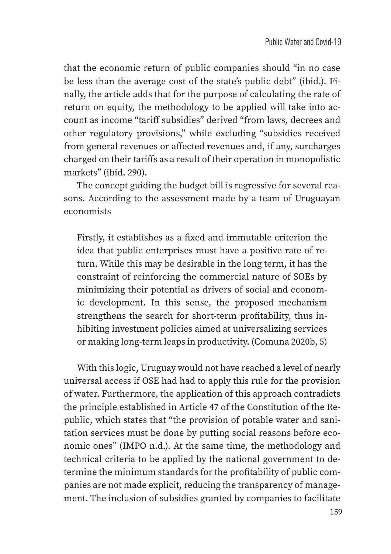that the economic return of public companies should "in no case be less than the average cost of the state's public debt" (ibid.). Finally, the article adds that for the purpose of calculating the rate of return on equity, the methodology to be applied will take into account as income "tariff subsidies" derived "from laws, decrees and other regulatory provisions," while excluding "subsidies received from general revenues or affected revenues and, if any, surcharges charged on their tariffs as a result of their operation in monopolistic markets" (ibid. 290).

The concept guiding the budget bill is regressive for several reasons. According to the assessment made by a team of Uruguayan economists

Firstly, it establishes as a fixed and immutable criterion the idea that public enterprises must have a positive rate of return. While this may be desirable in the long term, it has the constraint of reinforcing the commercial nature of SOEs by minimizing their potential as drivers of social and economic development. In this sense, the proposed mechanism strengthens the search for short-term profitability, thus inhibiting investment policies aimed at universalizing services or making long-term leaps in productivity. (Comuna 2020b, 5)

With this logic, Uruguay would not have reached a level of nearly universal access if OSE had had to apply this rule for the provision of water. Furthermore, the application of this approach contradicts the principle established in Article 47 of the Constitution of the Republic, which states that "the provision of potable water and sanitation services must be done by putting social reasons before economic ones" (IMPO n.d.). At the same time, the methodology and technical criteria to be applied by the national government to determine the minimum standards for the profitability of public companies are not made explicit, reducing the transparency of management. The inclusion of subsidies granted by companies to facilitate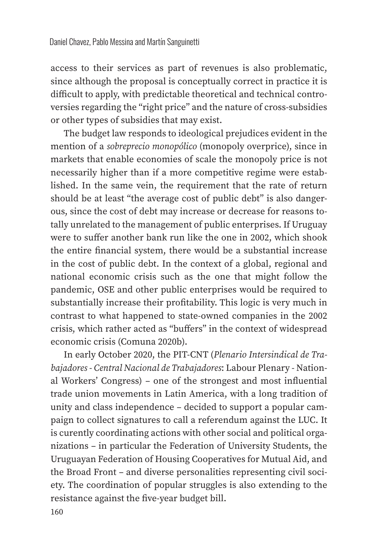access to their services as part of revenues is also problematic, since although the proposal is conceptually correct in practice it is difficult to apply, with predictable theoretical and technical controversies regarding the "right price" and the nature of cross-subsidies or other types of subsidies that may exist.

The budget law responds to ideological prejudices evident in the mention of a *sobreprecio monopólico* (monopoly overprice), since in markets that enable economies of scale the monopoly price is not necessarily higher than if a more competitive regime were established. In the same vein, the requirement that the rate of return should be at least "the average cost of public debt" is also dangerous, since the cost of debt may increase or decrease for reasons totally unrelated to the management of public enterprises. If Uruguay were to suffer another bank run like the one in 2002, which shook the entire financial system, there would be a substantial increase in the cost of public debt. In the context of a global, regional and national economic crisis such as the one that might follow the pandemic, OSE and other public enterprises would be required to substantially increase their profitability. This logic is very much in contrast to what happened to state-owned companies in the 2002 crisis, which rather acted as "buffers" in the context of widespread economic crisis (Comuna 2020b).

In early October 2020, the PIT-CNT (*Plenario Intersindical de Trabajadores - Central Nacional de Trabajadores*: Labour Plenary - National Workers' Congress) – one of the strongest and most influential trade union movements in Latin America, with a long tradition of unity and class independence – decided to support a popular campaign to collect signatures to call a referendum against the LUC. It is curently coordinating actions with other social and political organizations – in particular the Federation of University Students, the Uruguayan Federation of Housing Cooperatives for Mutual Aid, and the Broad Front – and diverse personalities representing civil society. The coordination of popular struggles is also extending to the resistance against the five-year budget bill.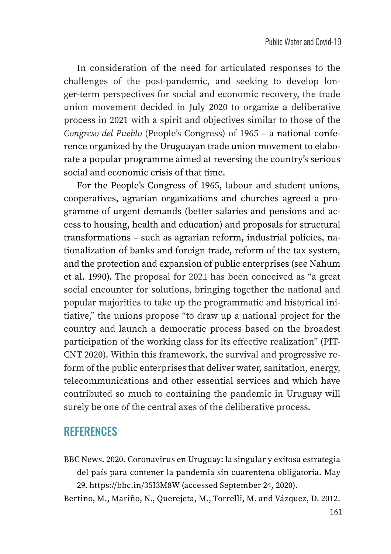In consideration of the need for articulated responses to the challenges of the post-pandemic, and seeking to develop longer-term perspectives for social and economic recovery, the trade union movement decided in July 2020 to organize a deliberative process in 2021 with a spirit and objectives similar to those of the *Congreso del Pueblo* (People's Congress) of 1965 – a national conference organized by the Uruguayan trade union movement to elaborate a popular programme aimed at reversing the country's serious social and economic crisis of that time.

For the People's Congress of 1965, labour and student unions, cooperatives, agrarian organizations and churches agreed a programme of urgent demands (better salaries and pensions and access to housing, health and education) and proposals for structural transformations – such as agrarian reform, industrial policies, nationalization of banks and foreign trade, reform of the tax system, and the protection and expansion of public enterprises (see Nahum et al. 1990). The proposal for 2021 has been conceived as "a great social encounter for solutions, bringing together the national and popular majorities to take up the programmatic and historical initiative," the unions propose "to draw up a national project for the country and launch a democratic process based on the broadest participation of the working class for its effective realization" (PIT-CNT 2020). Within this framework, the survival and progressive reform of the public enterprises that deliver water, sanitation, energy, telecommunications and other essential services and which have contributed so much to containing the pandemic in Uruguay will surely be one of the central axes of the deliberative process.

#### **REFERENCES**

BBC News. 2020. Coronavirus en Uruguay: la singular y exitosa estrategia del país para contener la pandemia sin cuarentena obligatoria. May 29. https://bbc.in/35I3M8W (accessed September 24, 2020).

Bertino, M., Mariño, N., Querejeta, M., Torrelli, M. and Vázquez, D. 2012.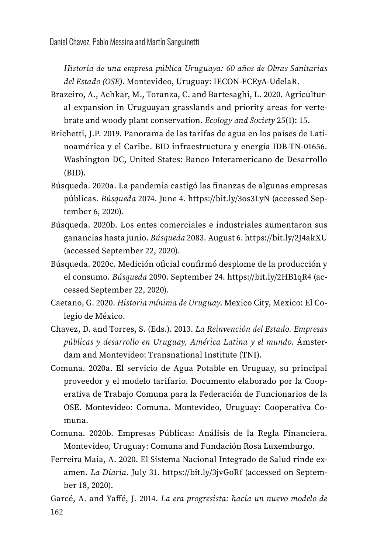*Historia de una empresa pública Uruguaya: 60 años de Obras Sanitarias del Estado (OSE)*. Montevideo, Uruguay: IECON-FCEyA-UdelaR.

- Brazeiro, A., Achkar, M., Toranza, C. and Bartesaghi, L. 2020. Agricultural expansion in Uruguayan grasslands and priority areas for vertebrate and woody plant conservation. *Ecology and Society* 25(1): 15.
- Brichetti, J.P. 2019. Panorama de las tarifas de agua en los países de Latinoamérica y el Caribe. BID infraestructura y energía IDB-TN-01656. Washington DC, United States: Banco Interamericano de Desarrollo (BID).
- Búsqueda. 2020a. La pandemia castigó las finanzas de algunas empresas públicas. *Búsqueda* 2074. June 4. https://bit.ly/3os3LyN (accessed September 6, 2020).
- Búsqueda. 2020b. Los entes comerciales e industriales aumentaron sus ganancias hasta junio. *Búsqueda* 2083. August 6. https://bit.ly/2J4akXU (accessed September 22, 2020).
- Búsqueda. 2020c. Medición oficial confirmó desplome de la producción y el consumo. *Búsqueda* 2090. September 24. https://bit.ly/2HB1qR4 (accessed September 22, 2020).
- Caetano, G. 2020. *Historia mínima de Uruguay*. Mexico City, Mexico: El Colegio de México.
- Chavez, D. and Torres, S. (Eds.). 2013. *La Reinvención del Estado. Empresas públicas y desarrollo en Uruguay, América Latina y el mundo*. Ámsterdam and Montevideo: Transnational Institute (TNI).
- Comuna. 2020a. El servicio de Agua Potable en Uruguay, su principal proveedor y el modelo tarifario. Documento elaborado por la Cooperativa de Trabajo Comuna para la Federación de Funcionarios de la OSE. Montevideo: Comuna. Montevideo, Uruguay: Cooperativa Comuna.
- Comuna. 2020b. Empresas Públicas: Análisis de la Regla Financiera. Montevideo, Uruguay: Comuna and Fundación Rosa Luxemburgo.
- Ferreira Maia, A. 2020. El Sistema Nacional Integrado de Salud rinde examen. *La Diaria*. July 31. https://bit.ly/3jvGoRf (accessed on September 18, 2020).
- 162 Garcé, A. and Ya!é, J. 2014. *La era progresista: hacia un nuevo modelo de*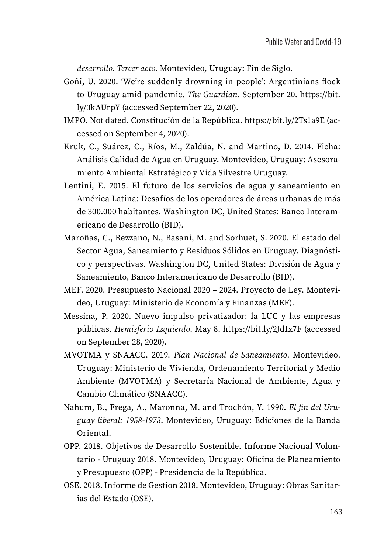*desarrollo. Tercer acto*. Montevideo, Uruguay: Fin de Siglo.

- Goñi, U. 2020. 'We're suddenly drowning in people': Argentinians flock to Uruguay amid pandemic. *The Guardian*. September 20. https://bit. ly/3kAUrpY (accessed September 22, 2020).
- IMPO. Not dated. Constitución de la República. https://bit.ly/2Ts1a9E (accessed on September 4, 2020).
- Kruk, C., Suárez, C., Ríos, M., Zaldúa, N. and Martino, D. 2014. Ficha: Análisis Calidad de Agua en Uruguay. Montevideo, Uruguay: Asesoramiento Ambiental Estratégico y Vida Silvestre Uruguay.
- Lentini, E. 2015. El futuro de los servicios de agua y saneamiento en América Latina: Desafíos de los operadores de áreas urbanas de más de 300.000 habitantes. Washington DC, United States: Banco Interamericano de Desarrollo (BID).
- Maroñas, C., Rezzano, N., Basani, M. and Sorhuet, S. 2020. El estado del Sector Agua, Saneamiento y Residuos Sólidos en Uruguay. Diagnóstico y perspectivas. Washington DC, United States: División de Agua y Saneamiento, Banco Interamericano de Desarrollo (BID).
- MEF. 2020. Presupuesto Nacional 2020 2024. Proyecto de Ley. Montevideo, Uruguay: Ministerio de Economía y Finanzas (MEF).
- Messina, P. 2020. Nuevo impulso privatizador: la LUC y las empresas públicas. *Hemisferio Izquierdo*. May 8. https://bit.ly/2JdIx7F (accessed on September 28, 2020).
- MVOTMA y SNAACC. 2019. *Plan Nacional de Saneamiento*. Montevideo, Uruguay: Ministerio de Vivienda, Ordenamiento Territorial y Medio Ambiente (MVOTMA) y Secretaría Nacional de Ambiente, Agua y Cambio Climático (SNAACC).
- Nahum, B., Frega, A., Maronna, M. and Trochón, Y. 1990. *El fin del Uruguay liberal: 1958-1973*. Montevideo, Uruguay: Ediciones de la Banda Oriental.
- OPP. 2018. Objetivos de Desarrollo Sostenible. Informe Nacional Voluntario - Uruguay 2018. Montevideo, Uruguay: Oficina de Planeamiento y Presupuesto (OPP) - Presidencia de la República.
- OSE. 2018. Informe de Gestion 2018. Montevideo, Uruguay: Obras Sanitarias del Estado (OSE).